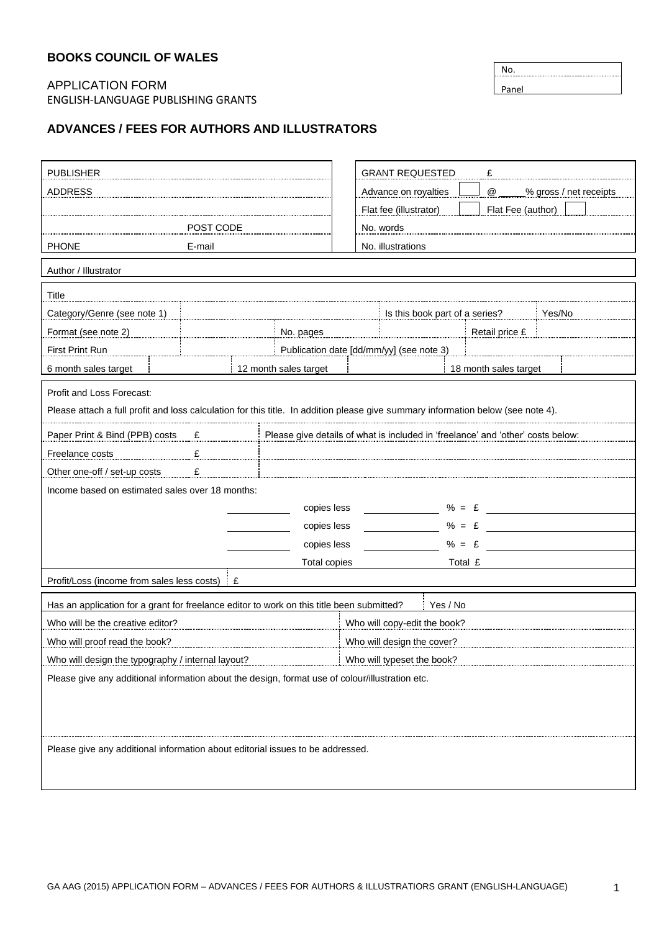## **BOOKS COUNCIL OF WALES**

## APPLICATION FORM ENGLISH-LANGUAGE PUBLISHING GRANTS

## **ADVANCES / FEES FOR AUTHORS AND ILLUSTRATORS**

| <b>PUBLISHER</b>                                                                                                                 |                                          |                       | <b>GRANT REQUESTED</b><br>£  |                                                      |               |                                       |  |  |
|----------------------------------------------------------------------------------------------------------------------------------|------------------------------------------|-----------------------|------------------------------|------------------------------------------------------|---------------|---------------------------------------|--|--|
| <b>ADDRESS</b>                                                                                                                   |                                          |                       |                              | Advance on royalties<br>@<br>_% gross / net receipts |               |                                       |  |  |
|                                                                                                                                  |                                          |                       |                              | Flat fee (illustrator)                               |               | Flat Fee (author)                     |  |  |
| POST CODE                                                                                                                        |                                          |                       | No. words                    |                                                      |               |                                       |  |  |
| <b>PHONE</b>                                                                                                                     | E-mail                                   |                       |                              | No. illustrations                                    |               |                                       |  |  |
| Author / Illustrator                                                                                                             |                                          |                       |                              |                                                      |               |                                       |  |  |
| Title                                                                                                                            |                                          |                       |                              |                                                      |               |                                       |  |  |
| Category/Genre (see note 1)                                                                                                      |                                          |                       |                              |                                                      |               | Is this book part of a series? Yes/No |  |  |
| Format (see note 2)                                                                                                              | No. pages                                |                       |                              |                                                      |               | Retail price £                        |  |  |
| First Print Run                                                                                                                  | Publication date [dd/mm/yy] (see note 3) |                       |                              |                                                      |               |                                       |  |  |
| 6 month sales target                                                                                                             |                                          | 12 month sales target |                              |                                                      |               | 18 month sales target                 |  |  |
| Profit and Loss Forecast:                                                                                                        |                                          |                       |                              |                                                      |               |                                       |  |  |
| Please attach a full profit and loss calculation for this title. In addition please give summary information below (see note 4). |                                          |                       |                              |                                                      |               |                                       |  |  |
| Paper Print & Bind (PPB) costs £<br>Please give details of what is included in 'freelance' and 'other' costs below:              |                                          |                       |                              |                                                      |               |                                       |  |  |
| Freelance costs<br>£                                                                                                             |                                          |                       |                              |                                                      |               |                                       |  |  |
| Other one-off / set-up costs E                                                                                                   |                                          |                       |                              |                                                      |               |                                       |  |  |
| Income based on estimated sales over 18 months:                                                                                  |                                          |                       |                              |                                                      |               |                                       |  |  |
| % = $\epsilon$<br>copies less                                                                                                    |                                          |                       |                              |                                                      |               |                                       |  |  |
|                                                                                                                                  |                                          | copies less           |                              |                                                      | $% = \pounds$ |                                       |  |  |
| copies less                                                                                                                      |                                          |                       |                              | $% = \pounds$                                        |               |                                       |  |  |
| Total copies                                                                                                                     |                                          |                       |                              | Total £                                              |               |                                       |  |  |
| Profit/Loss (income from sales less costs)   £                                                                                   |                                          |                       |                              |                                                      |               |                                       |  |  |
| Has an application for a grant for freelance editor to work on this title been submitted?<br>Yes / No                            |                                          |                       |                              |                                                      |               |                                       |  |  |
| Who will be the creative editor?                                                                                                 |                                          |                       | Who will copy-edit the book? |                                                      |               |                                       |  |  |
| Who will proof read the book?                                                                                                    |                                          |                       | Who will design the cover?   |                                                      |               |                                       |  |  |
| Who will design the typography / internal layout?<br>Who will typeset the book?                                                  |                                          |                       |                              |                                                      |               |                                       |  |  |
| Please give any additional information about the design, format use of colour/illustration etc.                                  |                                          |                       |                              |                                                      |               |                                       |  |  |
|                                                                                                                                  |                                          |                       |                              |                                                      |               |                                       |  |  |
|                                                                                                                                  |                                          |                       |                              |                                                      |               |                                       |  |  |
| Please give any additional information about editorial issues to be addressed.                                                   |                                          |                       |                              |                                                      |               |                                       |  |  |
|                                                                                                                                  |                                          |                       |                              |                                                      |               |                                       |  |  |
|                                                                                                                                  |                                          |                       |                              |                                                      |               |                                       |  |  |

No. Panel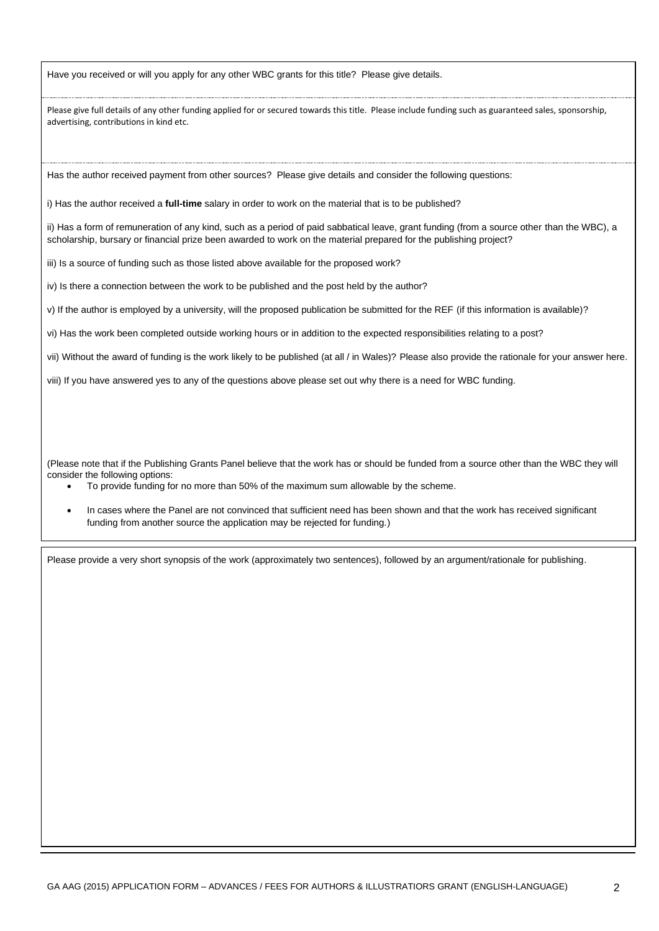Have you received or will you apply for any other WBC grants for this title? Please give details.

Please give full details of any other funding applied for or secured towards this title. Please include funding such as guaranteed sales, sponsorship, advertising, contributions in kind etc.

Has the author received payment from other sources? Please give details and consider the following questions:

i) Has the author received a **full-time** salary in order to work on the material that is to be published?

ii) Has a form of remuneration of any kind, such as a period of paid sabbatical leave, grant funding (from a source other than the WBC), a scholarship, bursary or financial prize been awarded to work on the material prepared for the publishing project?

iii) Is a source of funding such as those listed above available for the proposed work?

iv) Is there a connection between the work to be published and the post held by the author?

v) If the author is employed by a university, will the proposed publication be submitted for the REF (if this information is available)?

vi) Has the work been completed outside working hours or in addition to the expected responsibilities relating to a post?

vii) Without the award of funding is the work likely to be published (at all / in Wales)? Please also provide the rationale for your answer here.

viii) If you have answered yes to any of the questions above please set out why there is a need for WBC funding.

(Please note that if the Publishing Grants Panel believe that the work has or should be funded from a source other than the WBC they will consider the following options:

- To provide funding for no more than 50% of the maximum sum allowable by the scheme.
- In cases where the Panel are not convinced that sufficient need has been shown and that the work has received significant funding from another source the application may be rejected for funding.)

Please provide a very short synopsis of the work (approximately two sentences), followed by an argument/rationale for publishing.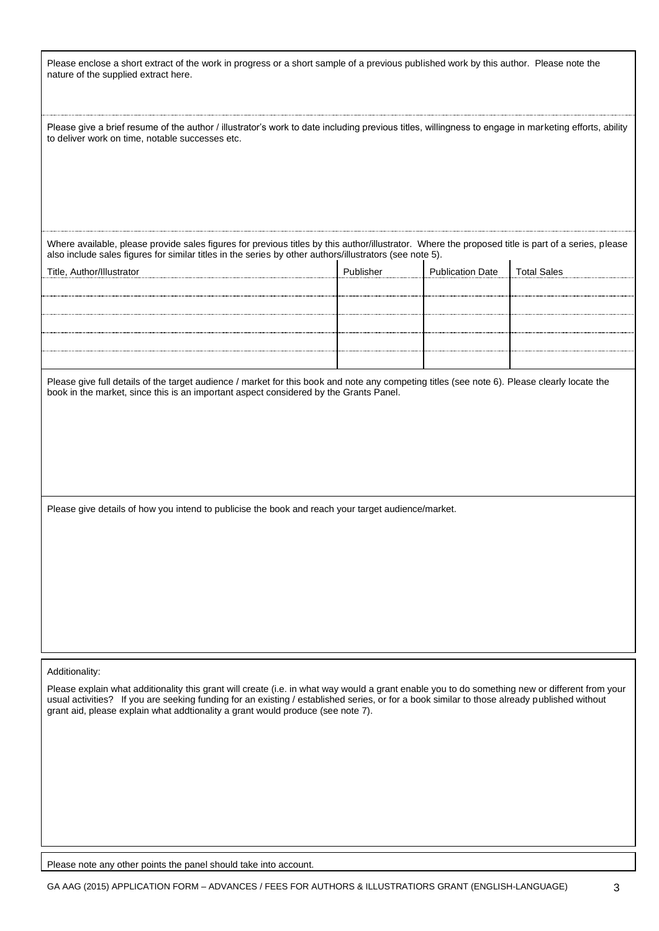Please enclose a short extract of the work in progress or a short sample of a previous published work by this author. Please note the nature of the supplied extract here.

Please give a brief resume of the author / illustrator's work to date including previous titles, willingness to engage in marketing efforts, ability to deliver work on time, notable successes etc.

Where available, please provide sales figures for previous titles by this author/illustrator. Where the proposed title is part of a series, please also include sales figures for similar titles in the series by other authors/illustrators (see note 5).  $\mathbf{I}$ 

| Title, Author/Illustrator | Publisher | <b>Publication Date</b> | <b>Total Sales</b> |
|---------------------------|-----------|-------------------------|--------------------|
|                           |           |                         |                    |
|                           |           |                         |                    |
|                           |           |                         |                    |
|                           |           |                         |                    |
|                           |           |                         |                    |
|                           |           |                         |                    |

Please give full details of the target audience / market for this book and note any competing titles (see note 6). Please clearly locate the book in the market, since this is an important aspect considered by the Grants Panel.

Please give details of how you intend to publicise the book and reach your target audience/market.

Additionality:

Please explain what additionality this grant will create (i.e. in what way would a grant enable you to do something new or different from your usual activities? If you are seeking funding for an existing / established series, or for a book similar to those already published without grant aid, please explain what addtionality a grant would produce (see note 7).

Please note any other points the panel should take into account.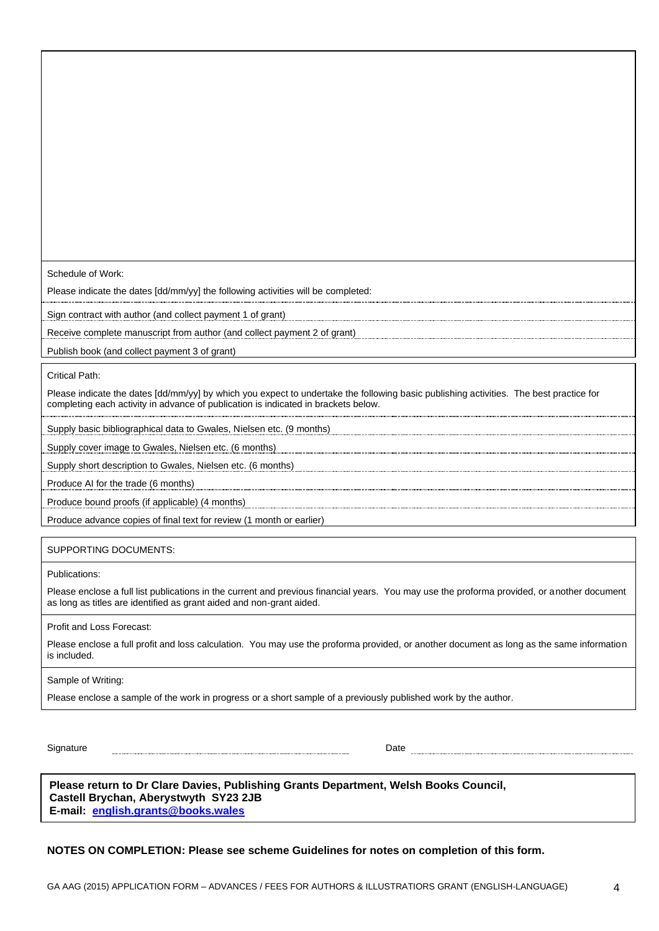Schedule of Work:

Please indicate the dates [dd/mm/yy] the following activities will be completed:

Sign contract with author (and collect payment 1 of grant)

Receive complete manuscript from author (and collect payment 2 of grant)

Publish book (and collect payment 3 of grant)

Critical Path:

Please indicate the dates [dd/mm/yy] by which you expect to undertake the following basic publishing activities. The best practice for completing each activity in advance of publication is indicated in brackets below.

Supply basic bibliographical data to Gwales, Nielsen etc. (9 months)

Supply cover image to Gwales, Nielsen etc. (6 months)

Supply short description to Gwales, Nielsen etc. (6 months)

Produce AI for the trade (6 months)

Produce bound proofs (if applicable) (4 months)

Produce advance copies of final text for review (1 month or earlier)

SUPPORTING DOCUMENTS:

Publications:

Please enclose a full list publications in the current and previous financial years. You may use the proforma provided, or another document as long as titles are identified as grant aided and non-grant aided.

Profit and Loss Forecast:

Please enclose a full profit and loss calculation. You may use the proforma provided, or another document as long as the same information is included.

Sample of Writing:

Please enclose a sample of the work in progress or a short sample of a previously published work by the author.

Signature Date **Date of the Contract of the Contract of the Contract of the Contract of the Date of the Contract of the Date of the Contract of the Contract of the Contract of the Contract of the Contract of the Contract o** 

**Please return to Dr Clare Davies, Publishing Grants Department, Welsh Books Council, Castell Brychan, Aberystwyth SY23 2JB E-mail: [english.grants@books.wales](mailto:english.grants@books.wales)** 

**NOTES ON COMPLETION: Please see scheme Guidelines for notes on completion of this form.**